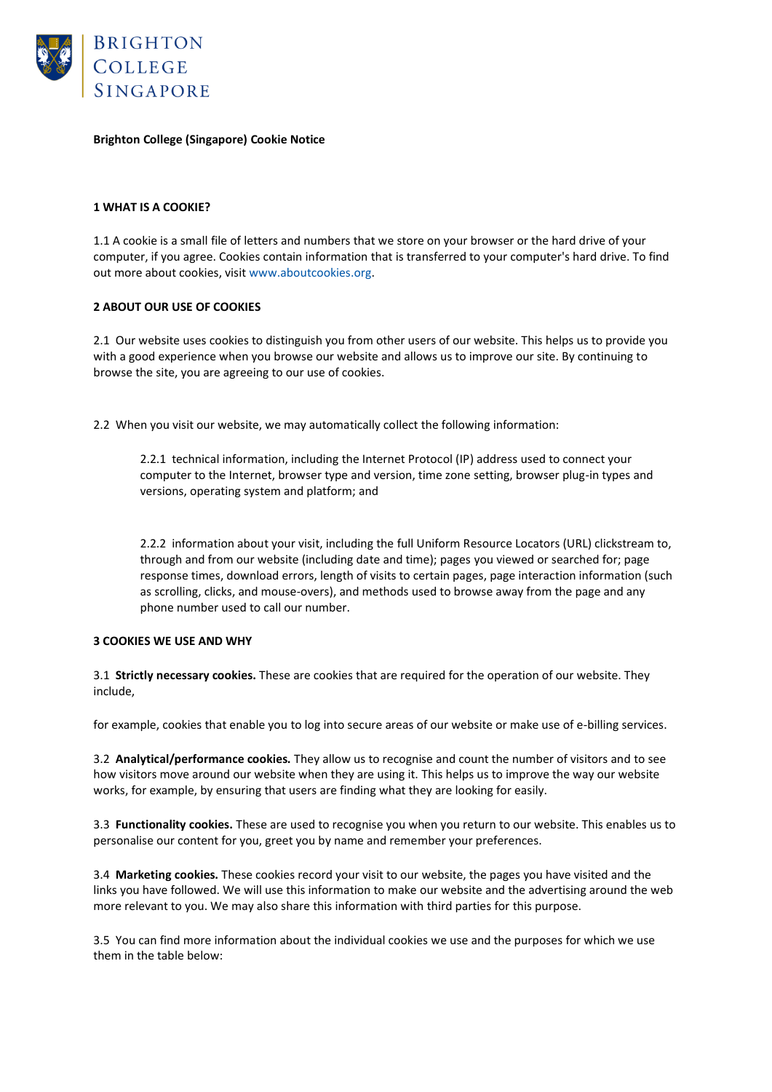

## **Brighton College (Singapore) Cookie Notice**

### **1 WHAT IS A COOKIE?**

1.1 A cookie is a small file of letters and numbers that we store on your browser or the hard drive of your computer, if you agree. Cookies contain information that is transferred to your computer's hard drive. To find out more about cookies, visit www.aboutcookies.org.

### **2 ABOUT OUR USE OF COOKIES**

2.1 Our website uses cookies to distinguish you from other users of our website. This helps us to provide you with a good experience when you browse our website and allows us to improve our site. By continuing to browse the site, you are agreeing to our use of cookies.

2.2 When you visit our website, we may automatically collect the following information:

2.2.1 technical information, including the Internet Protocol (IP) address used to connect your computer to the Internet, browser type and version, time zone setting, browser plug-in types and versions, operating system and platform; and

2.2.2 information about your visit, including the full Uniform Resource Locators (URL) clickstream to, through and from our website (including date and time); pages you viewed or searched for; page response times, download errors, length of visits to certain pages, page interaction information (such as scrolling, clicks, and mouse-overs), and methods used to browse away from the page and any phone number used to call our number.

### **3 COOKIES WE USE AND WHY**

3.1 **Strictly necessary cookies.** These are cookies that are required for the operation of our website. They include,

for example, cookies that enable you to log into secure areas of our website or make use of e-billing services.

3.2 **Analytical/performance cookies.** They allow us to recognise and count the number of visitors and to see how visitors move around our website when they are using it. This helps us to improve the way our website works, for example, by ensuring that users are finding what they are looking for easily.

3.3 **Functionality cookies.** These are used to recognise you when you return to our website. This enables us to personalise our content for you, greet you by name and remember your preferences.

3.4 **Marketing cookies.** These cookies record your visit to our website, the pages you have visited and the links you have followed. We will use this information to make our website and the advertising around the web more relevant to you. We may also share this information with third parties for this purpose.

3.5 You can find more information about the individual cookies we use and the purposes for which we use them in the table below: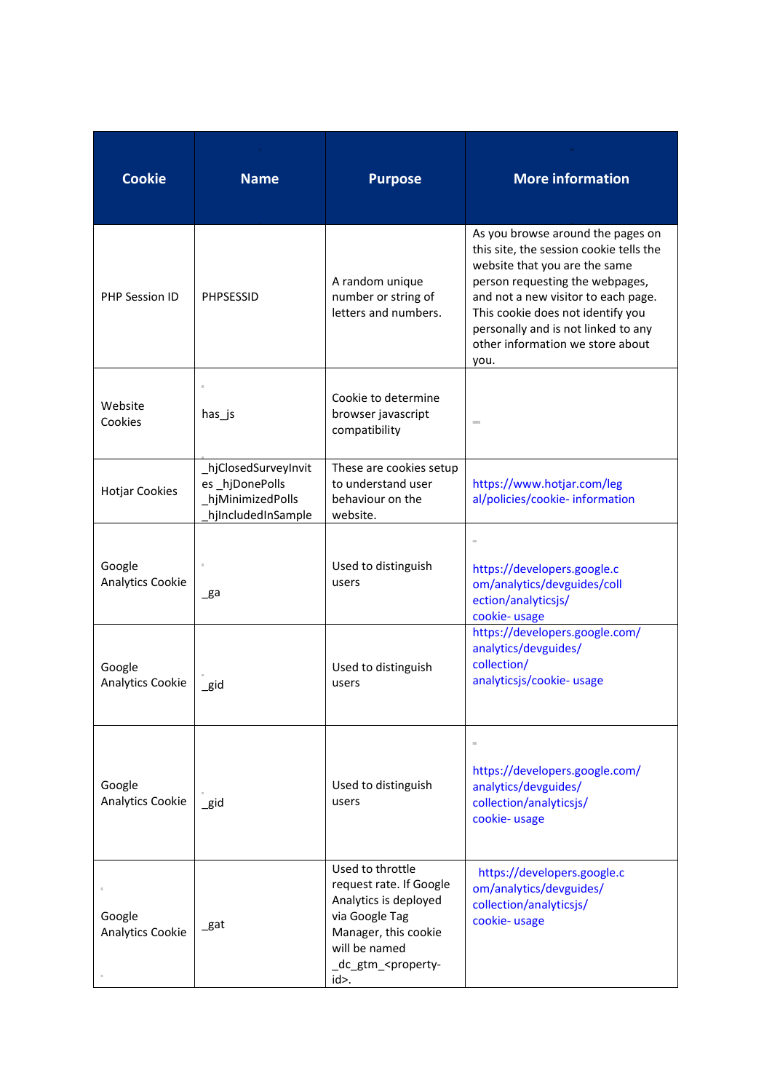| <b>Cookie</b>              | <b>Name</b>                                                                     | <b>Purpose</b>                                                                                                                                                                   | <b>More information</b>                                                                                                                                                                                                                                                                                         |
|----------------------------|---------------------------------------------------------------------------------|----------------------------------------------------------------------------------------------------------------------------------------------------------------------------------|-----------------------------------------------------------------------------------------------------------------------------------------------------------------------------------------------------------------------------------------------------------------------------------------------------------------|
| PHP Session ID             | <b>PHPSESSID</b>                                                                | A random unique<br>number or string of<br>letters and numbers.                                                                                                                   | As you browse around the pages on<br>this site, the session cookie tells the<br>website that you are the same<br>person requesting the webpages,<br>and not a new visitor to each page.<br>This cookie does not identify you<br>personally and is not linked to any<br>other information we store about<br>you. |
| Website<br>Cookies         | has_js                                                                          | Cookie to determine<br>browser javascript<br>compatibility                                                                                                                       |                                                                                                                                                                                                                                                                                                                 |
| <b>Hotjar Cookies</b>      | hjClosedSurveyInvit<br>es_hjDonePolls<br>hjMinimizedPolls<br>hjIncludedInSample | These are cookies setup<br>to understand user<br>behaviour on the<br>website.                                                                                                    | https://www.hotjar.com/leg<br>al/policies/cookie-information                                                                                                                                                                                                                                                    |
| Google<br>Analytics Cookie | $\mathsf{g}$ a                                                                  | Used to distinguish<br>users                                                                                                                                                     | https://developers.google.c<br>om/analytics/devguides/coll<br>ection/analyticsjs/<br>cookie- usage                                                                                                                                                                                                              |
| Google<br>Analytics Cookie | gid                                                                             | Used to distinguish<br>users                                                                                                                                                     | https://developers.google.com/<br>analytics/devguides/<br>collection/<br>analyticsjs/cookie- usage                                                                                                                                                                                                              |
| Google<br>Analytics Cookie | $\_$ gid                                                                        | Used to distinguish<br>users                                                                                                                                                     | https://developers.google.com/<br>analytics/devguides/<br>collection/analyticsjs/<br>cookie- usage                                                                                                                                                                                                              |
| Google<br>Analytics Cookie | gat                                                                             | Used to throttle<br>request rate. If Google<br>Analytics is deployed<br>via Google Tag<br>Manager, this cookie<br>will be named<br>_dc_gtm_ <property-<br>id&gt;.</property-<br> | https://developers.google.c<br>om/analytics/devguides/<br>collection/analyticsjs/<br>cookie-usage                                                                                                                                                                                                               |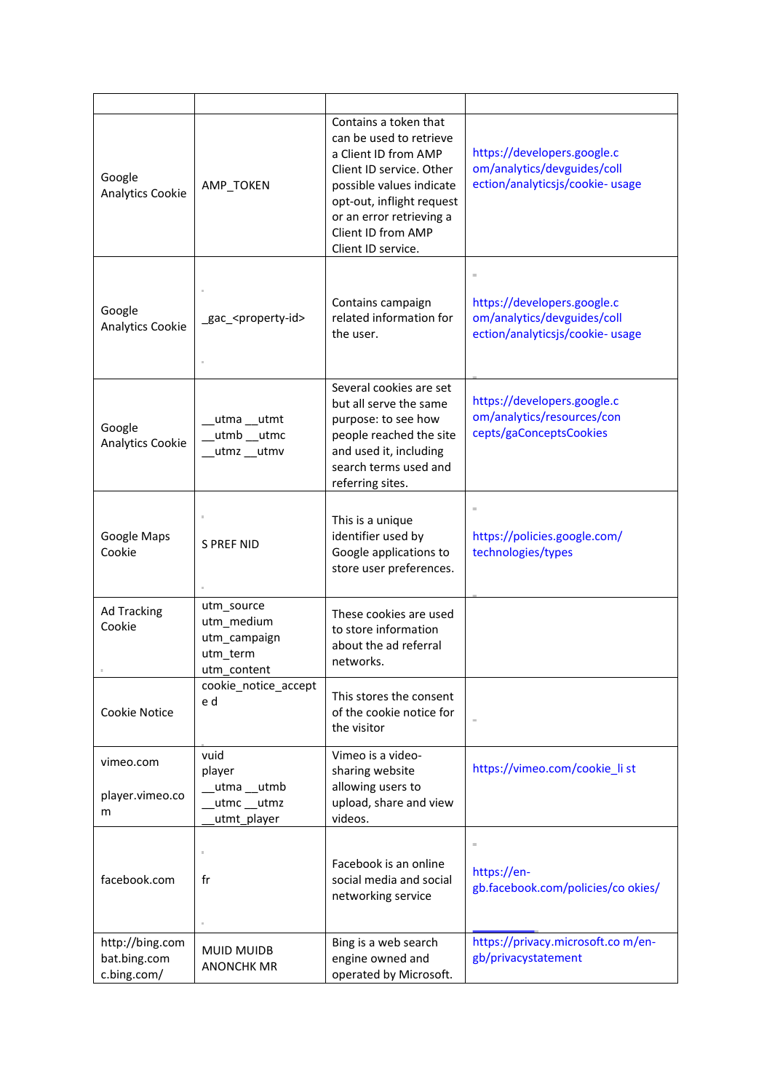| Google<br><b>Analytics Cookie</b>              | AMP_TOKEN                                                           | Contains a token that<br>can be used to retrieve<br>a Client ID from AMP<br>Client ID service, Other<br>possible values indicate<br>opt-out, inflight request<br>or an error retrieving a<br>Client ID from AMP<br>Client ID service. | https://developers.google.c<br>om/analytics/devguides/coll<br>ection/analyticsjs/cookie- usage |
|------------------------------------------------|---------------------------------------------------------------------|---------------------------------------------------------------------------------------------------------------------------------------------------------------------------------------------------------------------------------------|------------------------------------------------------------------------------------------------|
| Google<br>Analytics Cookie                     | _gac_ <property-id></property-id>                                   | Contains campaign<br>related information for<br>the user.                                                                                                                                                                             | https://developers.google.c<br>om/analytics/devguides/coll<br>ection/analyticsjs/cookie- usage |
| Google<br><b>Analytics Cookie</b>              | utma utmt<br>utmb __utmc<br>utmz utmv                               | Several cookies are set<br>but all serve the same<br>purpose: to see how<br>people reached the site<br>and used it, including<br>search terms used and<br>referring sites.                                                            | https://developers.google.c<br>om/analytics/resources/con<br>cepts/gaConceptsCookies           |
| Google Maps<br>Cookie                          | <b>S PREF NID</b>                                                   | This is a unique<br>identifier used by<br>Google applications to<br>store user preferences.                                                                                                                                           | https://policies.google.com/<br>technologies/types                                             |
| <b>Ad Tracking</b><br>Cookie                   | utm_source<br>utm_medium<br>utm_campaign<br>utm_term<br>utm content | These cookies are used<br>to store information<br>about the ad referral<br>networks.                                                                                                                                                  |                                                                                                |
| Cookie Notice                                  | cookie_notice_accept<br>e d                                         | This stores the consent<br>of the cookie notice for<br>the visitor                                                                                                                                                                    |                                                                                                |
| vimeo.com<br>player.vimeo.co<br>m              | vuid<br>player<br>_utma __utmb<br>utmc utmz<br>utmt_player          | Vimeo is a video-<br>sharing website<br>allowing users to<br>upload, share and view<br>videos.                                                                                                                                        | https://vimeo.com/cookie_li st                                                                 |
| facebook.com                                   | fr                                                                  | Facebook is an online<br>social media and social<br>networking service                                                                                                                                                                | https://en-<br>gb.facebook.com/policies/co okies/                                              |
| http://bing.com<br>bat.bing.com<br>c.bing.com/ | <b>MUID MUIDB</b><br><b>ANONCHK MR</b>                              | Bing is a web search<br>engine owned and<br>operated by Microsoft.                                                                                                                                                                    | https://privacy.microsoft.com/en-<br>gb/privacystatement                                       |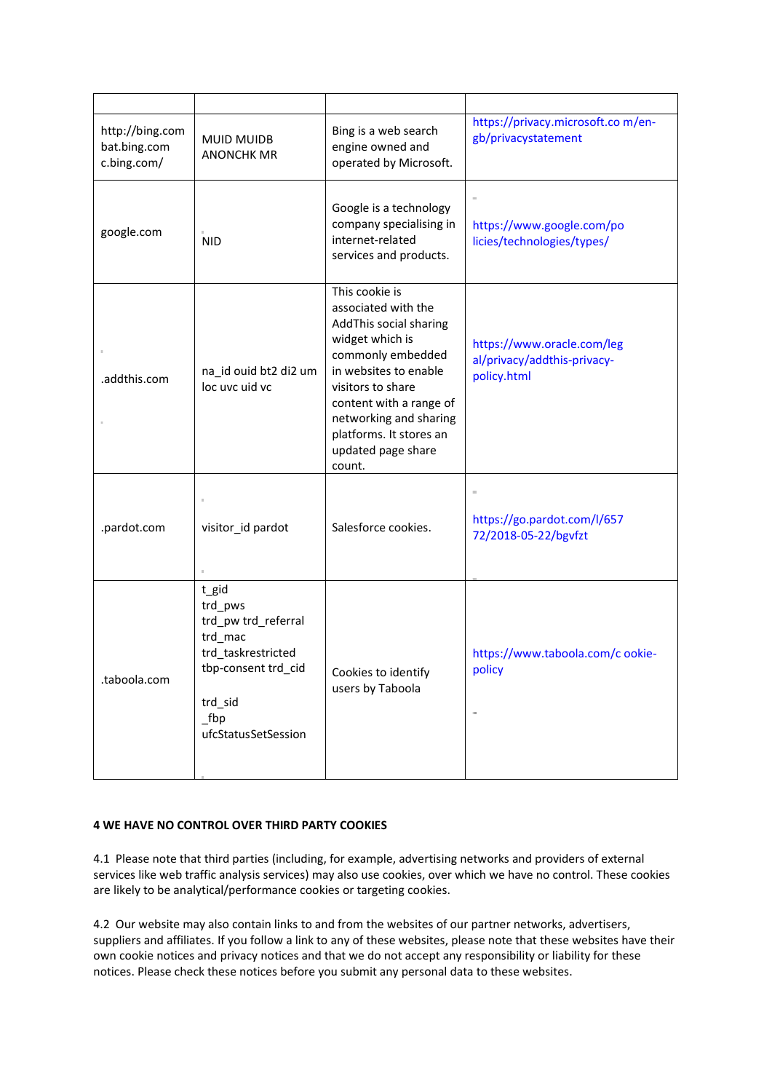| http://bing.com<br>bat.bing.com<br>c.bing.com/ | <b>MUID MUIDB</b><br><b>ANONCHK MR</b>                                                                                                   | Bing is a web search<br>engine owned and<br>operated by Microsoft.                                                                                                                                                                                                    | https://privacy.microsoft.com/en-<br>gb/privacystatement                 |
|------------------------------------------------|------------------------------------------------------------------------------------------------------------------------------------------|-----------------------------------------------------------------------------------------------------------------------------------------------------------------------------------------------------------------------------------------------------------------------|--------------------------------------------------------------------------|
| google.com                                     | <b>NID</b>                                                                                                                               | Google is a technology<br>company specialising in<br>internet-related<br>services and products.                                                                                                                                                                       | https://www.google.com/po<br>licies/technologies/types/                  |
| .addthis.com                                   | na_id ouid bt2 di2 um<br>loc uvc uid vc                                                                                                  | This cookie is<br>associated with the<br>AddThis social sharing<br>widget which is<br>commonly embedded<br>in websites to enable<br>visitors to share<br>content with a range of<br>networking and sharing<br>platforms. It stores an<br>updated page share<br>count. | https://www.oracle.com/leg<br>al/privacy/addthis-privacy-<br>policy.html |
| .pardot.com                                    | visitor_id pardot                                                                                                                        | Salesforce cookies.                                                                                                                                                                                                                                                   | https://go.pardot.com/l/657<br>72/2018-05-22/bgvfzt                      |
| .taboola.com                                   | t_gid<br>trd pws<br>trd_pw trd_referral<br>trd_mac<br>trd taskrestricted<br>tbp-consent trd_cid<br>trd_sid<br>fbp<br>ufcStatusSetSession | Cookies to identify<br>users by Taboola                                                                                                                                                                                                                               | https://www.taboola.com/c ookie-<br>policy                               |

## **4 WE HAVE NO CONTROL OVER THIRD PARTY COOKIES**

4.1 Please note that third parties (including, for example, advertising networks and providers of external services like web traffic analysis services) may also use cookies, over which we have no control. These cookies are likely to be analytical/performance cookies or targeting cookies.

4.2 Our website may also contain links to and from the websites of our partner networks, advertisers, suppliers and affiliates. If you follow a link to any of these websites, please note that these websites have their own cookie notices and privacy notices and that we do not accept any responsibility or liability for these notices. Please check these notices before you submit any personal data to these websites.